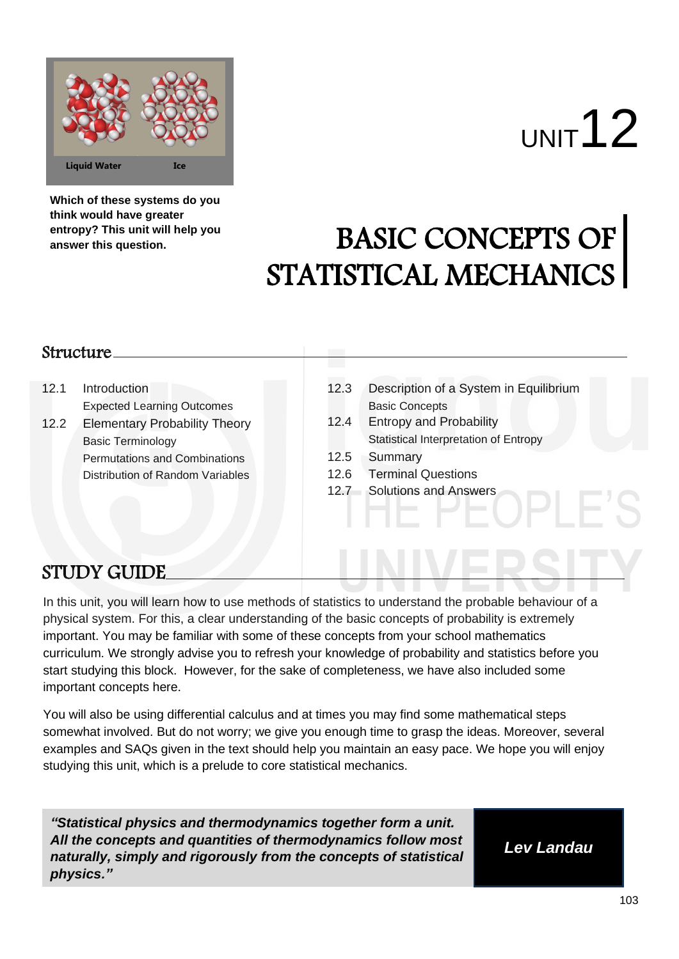

# UNIT<sup>12</sup>

**Which of these systems do you think would have greater entropy? This unit will help you answer this question.**

# BASIC CONCEPTS OF STATISTICAL MECHANICS

# Structure

- 12.1 Introduction Expected Learning Outcomes
- 12.2 Elementary Probability Theory Basic Terminology Permutations and Combinations Distribution of Random Variables
- 12.3 Description of a System in Equilibrium<br>Basic Concepts
- 12.4 Entropy and Probability Statistical Interpretation of Entropy
- 12.5 Summary
- 12.6 Terminal Questions
- 12.7 Solutions and Answers

# STUDY GUIDE

In this unit, you will learn how to use methods of statistics to understand the probable behaviour of a physical system. For this, a clear understanding of the basic concepts of probability is extremely important. You may be familiar with some of these concepts from your school mathematics curriculum. We strongly advise you to refresh your knowledge of probability and statistics before you start studying this block. However, for the sake of completeness, we have also included some important concepts here.

You will also be using differential calculus and at times you may find some mathematical steps somewhat involved. But do not worry; we give you enough time to grasp the ideas. Moreover, several examples and SAQs given in the text should help you maintain an easy pace. We hope you will enjoy studying this unit, which is a prelude to core statistical mechanics.

*"Statistical physics and thermodynamics together form a unit. All the concepts and quantities of thermodynamics follow most naturally, simply and rigorously from the concepts of statistical physics."*

*Lev Landau*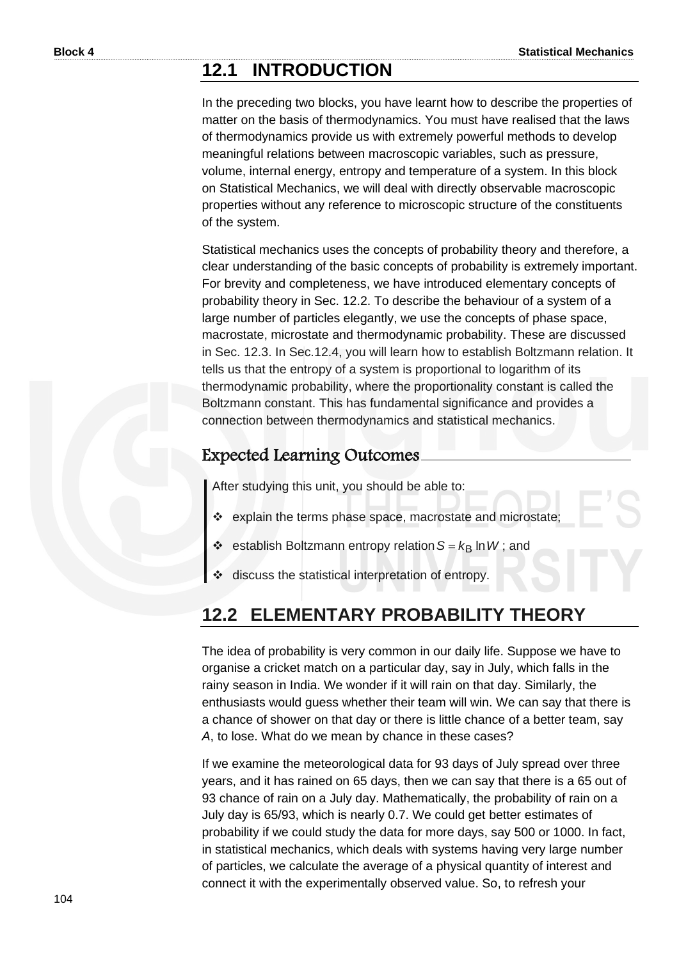# **12.1 INTRODUCTION**

In the preceding two blocks, you have learnt how to describe the properties of matter on the basis of thermodynamics. You must have realised that the laws of thermodynamics provide us with extremely powerful methods to develop meaningful relations between macroscopic variables, such as pressure, volume, internal energy, entropy and temperature of a system. In this block on Statistical Mechanics, we will deal with directly observable macroscopic properties without any reference to microscopic structure of the constituents of the system.

Statistical mechanics uses the concepts of probability theory and therefore, a clear understanding of the basic concepts of probability is extremely important. For brevity and completeness, we have introduced elementary concepts of probability theory in Sec. 12.2. To describe the behaviour of a system of a large number of particles elegantly, we use the concepts of phase space, macrostate, microstate and thermodynamic probability. These are discussed in Sec. 12.3. In Sec.12.4, you will learn how to establish Boltzmann relation. It tells us that the entropy of a system is proportional to logarithm of its thermodynamic probability, where the proportionality constant is called the Boltzmann constant. This has fundamental significance and provides a connection between thermodynamics and statistical mechanics.

# Expected Learning Outcomes

After studying this unit, you should be able to:

- ❖ explain the terms phase space, macrostate and microstate;
- ❖ establish Boltzmann entropy relation  $S = k_B \ln W$ ; and
- discuss the statistical interpretation of entropy.

# **12.2 ELEMENTARY PROBABILITY THEORY**

The idea of probability is very common in our daily life. Suppose we have to organise a cricket match on a particular day, say in July, which falls in the rainy season in India. We wonder if it will rain on that day. Similarly, the enthusiasts would guess whether their team will win. We can say that there is a chance of shower on that day or there is little chance of a better team, say *A*, to lose. What do we mean by chance in these cases?

If we examine the meteorological data for 93 days of July spread over three years, and it has rained on 65 days, then we can say that there is a 65 out of 93 chance of rain on a July day. Mathematically, the probability of rain on a July day is 65/93, which is nearly 0.7. We could get better estimates of probability if we could study the data for more days, say 500 or 1000. In fact, in statistical mechanics, which deals with systems having very large number of particles, we calculate the average of a physical quantity of interest and connect it with the experimentally observed value. So, to refresh your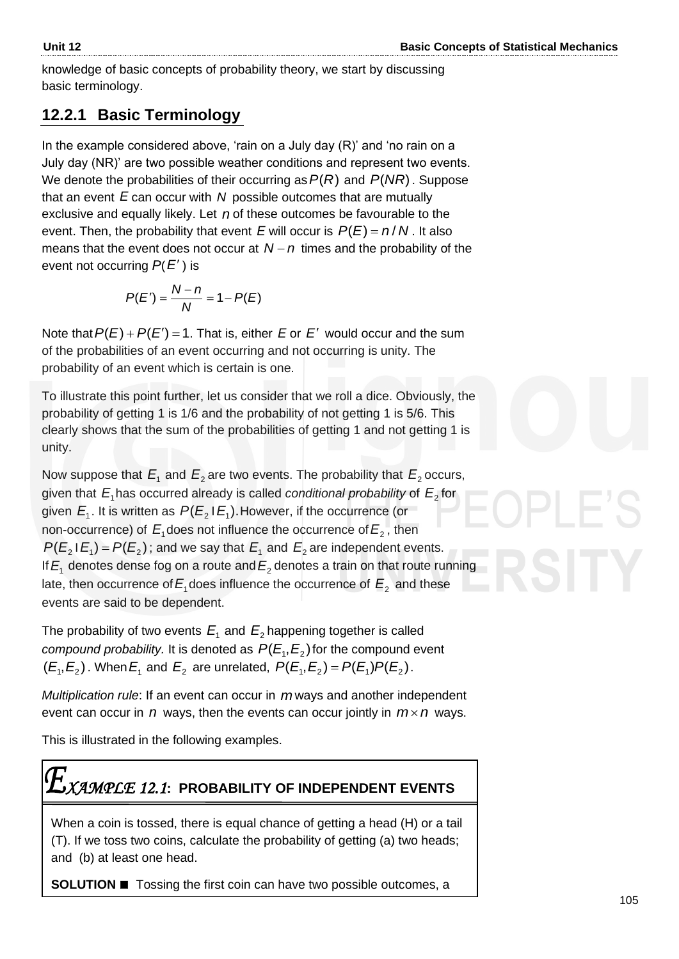knowledge of basic concepts of probability theory, we start by discussing basic terminology.

# **12.2.1 Basic Terminology**

In the example considered above, 'rain on a July day (R)' and 'no rain on a July day (NR)' are two possible weather conditions and represent two events. We denote the probabilities of their occurring as  $P(R)$  and  $P(NR)$ . Suppose that an event E can occur with N possible outcomes that are mutually exclusive and equally likely. Let n of these outcomes be favourable to the event. Then, the probability that event E will occur is  $P(E) = n/N$ . It also means that the event does not occur at  $N - n$  times and the probability of the event not occurring *P*( *E* ) is

$$
P(E')=\frac{N-n}{N}=1-P(E)
$$

Note that  $P(E) + P(E') = 1$ . That is, either *E* or *E'* would occur and the sum of the probabilities of an event occurring and not occurring is unity. The probability of an event which is certain is one.

To illustrate this point further, let us consider that we roll a dice. Obviously, the probability of getting 1 is 1/6 and the probability of not getting 1 is 5/6. This clearly shows that the sum of the probabilities of getting 1 and not getting 1 is unity.

Now suppose that  $E_1$  and  $E_2$  are two events. The probability that  $E_2$  occurs, given that  $E_{\scriptscriptstyle 1}$ has occurred already is called *conditional probability* of  $E_{\scriptscriptstyle 2}$  for given  $E_{\scriptscriptstyle 1}$ . It is written as  $\,P(E_{\scriptscriptstyle 2}^{}$  I  $E_{\scriptscriptstyle 1}^{})$ . However, if the occurrence (or non-occurrence) of  $E_{\text{1}}$ does not influence the occurrence of  $E_{\text{2}}$  , then  $P(E_2 | E_1) = P(E_2)$ ; and we say that  $E_1$  and  $E_2$  are independent events. If  $E_1$  denotes dense fog on a route and  $E_2$  denotes a train on that route running late, then occurrence of  $E_{\text{1}}$  does influence the occurrence of  $E_{\text{2}}$  and these events are said to be dependent.

The probability of two events  $E_{1}$  and  $E_{2}$  happening together is called *compound probability.* It is denoted as  $P(E_1, E_2)$  for the compound event  $(E_1, E_2)$ . When  $E_1$  and  $E_2$  are unrelated,  $P(E_1, E_2) = P(E_1)P(E_2)$ .

*Multiplication rule*: If an event can occur in *m* ways and another independent event can occur in  $n$  ways, then the events can occur jointly in  $m \times n$  ways.

This is illustrated in the following examples.

# *XAMPLE 12.1***: PROBABILITY OF INDEPENDENT EVENTS**

When a coin is tossed, there is equal chance of getting a head (H) or a tail (T). If we toss two coins, calculate the probability of getting (a) two heads; and (b) at least one head.

**SOLUTION** ◼ Tossing the first coin can have two possible outcomes, a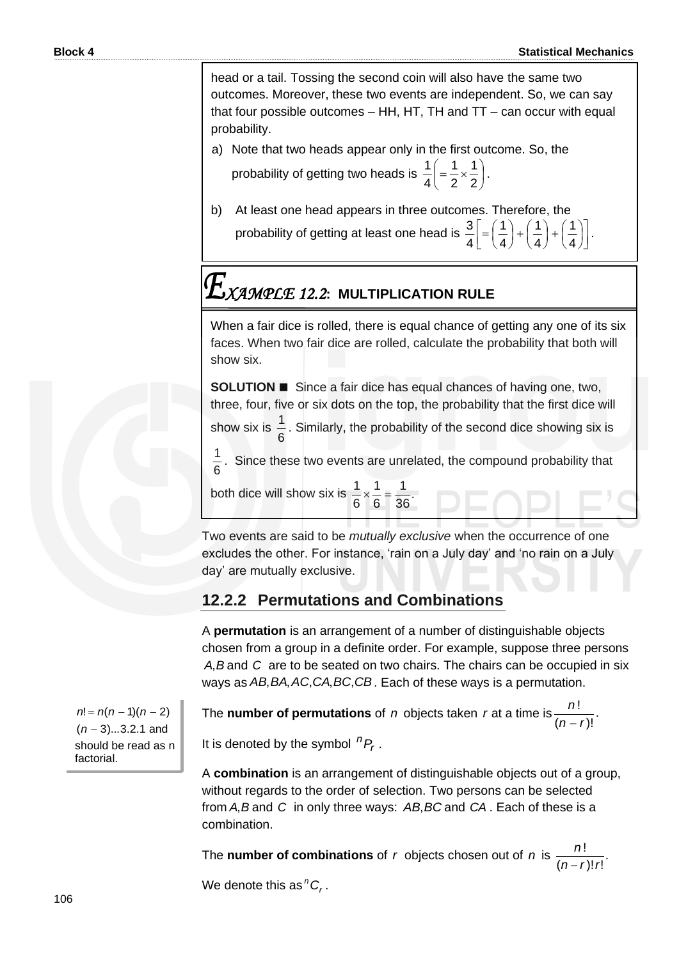head or a tail. Tossing the second coin will also have the same two outcomes. Moreover, these two events are independent. So, we can say that four possible outcomes – HH, HT, TH and TT – can occur with equal probability.

a) Note that two heads appear only in the first outcome. So, the

probability of getting two heads is  $\frac{1}{4}$  =  $\frac{1}{2} \times \frac{1}{2}$  $\bigg)$  $\left(=\frac{1}{2}\times\frac{1}{2}\right)$  $\overline{\phantom{0}}$  $\left(=\frac{1}{2}\right)$ 2 1 2 1 4  $\frac{1}{4} = \frac{1}{2} \times \frac{1}{2}$ .

b) At least one head appears in three outcomes. Therefore, the probability of getting at least one head is  $\frac{3}{4} = \left(\frac{1}{4} + \left(\frac{1}{4} + \left(\frac{1}{4}\right)\right)^2\right)$ J  $\overline{\mathsf{L}}$  $\left[ = \left( \frac{1}{4} \right) + \left( \frac{1}{4} \right) + \left( \frac{1}{4} \right) \right]$  $\left(\frac{1}{4}\right)$  $+$  $($  $\left(\frac{1}{4}\right)$  $+$  $($  $\left(\frac{1}{4}\right)$  $=\left($ 4 1 4 1 4 1 4  $\frac{3}{4}$ = $\left(\frac{1}{4}\right)+\left(\frac{1}{4}\right)+\left(\frac{1}{4}\right)$ .

# *XAMPLE 12.2***: MULTIPLICATION RULE**

When a fair dice is rolled, there is equal chance of getting any one of its six faces. When two fair dice are rolled, calculate the probability that both will show six.

**SOLUTION** ◼ Since a fair dice has equal chances of having one, two, three, four, five or six dots on the top, the probability that the first dice will

show six is 6  $\frac{1}{6}$ . Similarly, the probability of the second dice showing six is

6  $\frac{1}{6}$ . Since these two events are unrelated, the compound probability that

both dice will show six is  $\frac{1}{2} \times \frac{1}{2} = \frac{1}{20}$ . 36 1 6 1 6  $\frac{1}{2} \times \frac{1}{2} =$ 

Two events are said to be *mutually exclusive* when the occurrence of one excludes the other. For instance, 'rain on a July day' and 'no rain on a July day' are mutually exclusive.

# **12.2.2 Permutations and Combinations**

A **permutation** is an arrangement of a number of distinguishable objects chosen from a group in a definite order. For example, suppose three persons A, B and C are to be seated on two chairs. The chairs can be occupied in six ways as AB, BA, AC, CA, BC, CB. Each of these ways is a permutation.

The **number of permutations** of n objects taken r at a time is  $\frac{m}{2}$ .  $(n-r)!$ ! *rn n* −

It is denoted by the symbol  ${}^{n}P_{r}$ .

A **combination** is an arrangement of distinguishable objects out of a group, without regards to the order of selection. Two persons can be selected from A, B and C in only three ways: AB, BC and CA. Each of these is a combination.

The **number of combinations** of r objects chosen out of n is  $\frac{n!}{(n-1)!}$ . ! *n*

 $(n - r)! r!$  $n-r$ !! −

We denote this as  ${}^nC_r$ .

 $n! = n(n-1)(n-2)$ (*n* − 3)...3.2.1 and should be read as n factorial.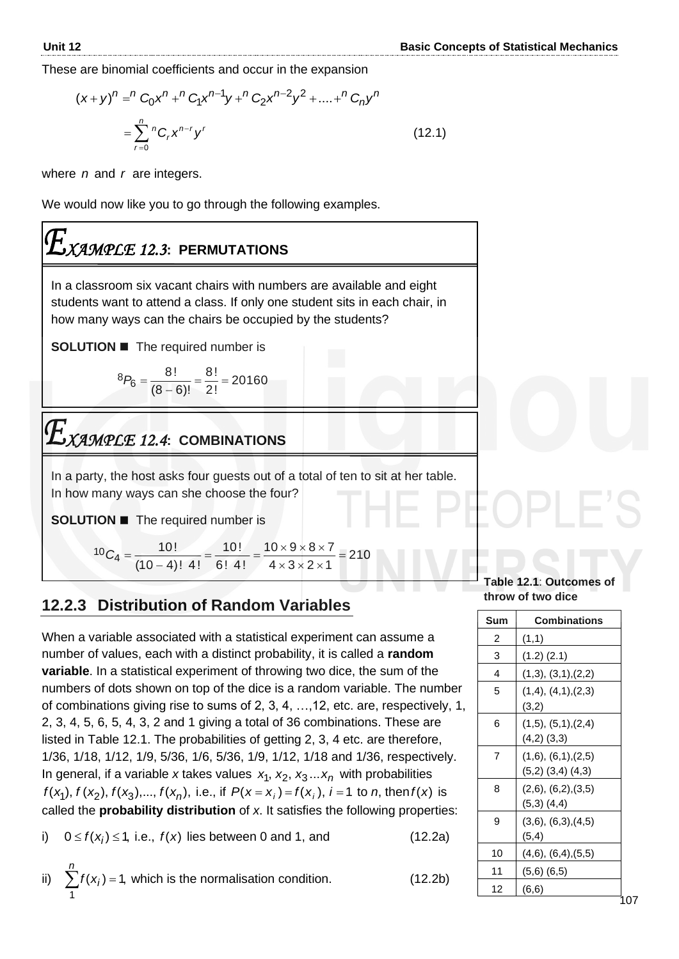These are binomial coefficients and occur in the expansion

$$
(x+y)^n = {^nC_0x^n} + {^nC_1x^{n-1}y} + {^nC_2x^{n-2}y^2} + ... + {^nC_ny^n}
$$
  
= 
$$
\sum_{r=0}^{n} {^nC_rx^{n-r}y^r}
$$
 (12.1)

where *n* and *r* are integers.

We would now like you to go through the following examples.

# *XAMPLE 12.3***: PERMUTATIONS**

In a classroom six vacant chairs with numbers are available and eight students want to attend a class. If only one student sits in each chair, in how many ways can the chairs be occupied by the students?

**SOLUTION ■** The required number is

$$
{}^{8}P_{6}=\frac{8!}{(8-6)!}=\frac{8!}{2!}=20160
$$

# *XAMPLE 12.4***: COMBINATIONS**

In a party, the host asks four guests out of a total of ten to sit at her table. In how many ways can she choose the four?

**SOLUTION** ◼ The required number is

210  $4 \times 3 \times 2 \times 1$  $10 \times 9 \times 8 \times 7$ 6! 4! 10!  $(10 - 4)!$  4! 10!  $\frac{10}{4} = \frac{10!}{40 \times 9 \times 0 \times 1} = \frac{10!}{6!4!} = \frac{10 \times 9 \times 0 \times 1}{4 \times 2 \times 2 \times 1} =$  $\times$  3  $\times$  2  $\times$  $=\frac{10!}{2!}=\frac{10\times9\times8\times1}{2!}$ −  $C_4 =$ 

# **12.2.3 Distribution of Random Variables**

When a variable associated with a statistical experiment can assume a number of values, each with a distinct probability, it is called a **random variable**. In a statistical experiment of throwing two dice, the sum of the numbers of dots shown on top of the dice is a random variable. The number of combinations giving rise to sums of 2, 3, 4, …,12, etc. are, respectively, 1, 2, 3, 4, 5, 6, 5, 4, 3, 2 and 1 giving a total of 36 combinations. These are listed in Table 12.1. The probabilities of getting 2, 3, 4 etc. are therefore, 1/36, 1/18, 1/12, 1/9, 5/36, 1/6, 5/36, 1/9, 1/12, 1/18 and 1/36, respectively. In general, if a variable x takes values  $x_1, x_2, x_3...x_n$  with probabilities  $f(x_1)$ ,  $f(x_2)$ ,  $f(x_3)$ ,...,  $f(x_n)$ , i.e., if  $P(x = x_i) = f(x_i)$ ,  $i = 1$  to *n*, then  $f(x)$  is called the **probability distribution** of *x*. It satisfies the following properties:

i)  $0 \le f(x_i) \le 1$ , i.e.,  $f(x)$  lies between 0 and 1, and (12.2a)

ii) 
$$
\sum_{1}^{n} f(x_i) = 1
$$
, which is the normalisation condition. (12.2b)

### **Table 12.1**: **Outcomes of throw of two dice**

| Sum | <b>Combinations</b>                                    |
|-----|--------------------------------------------------------|
| 2   | (1,1)                                                  |
| 3   | $(1.2)$ $(2.1)$                                        |
| 4   | (1,3), (3,1),(2,2)                                     |
| 5   | (1,4), (4,1), (2,3)<br>(3,2)                           |
| 6   | $(1,5)$ , $(5,1)$ , $(2,4)$<br>$(4,2)$ $(3,3)$         |
| 7   | $(1,6)$ , $(6,1)$ , $(2,5)$<br>$(5,2)$ $(3,4)$ $(4,3)$ |
| 8   | $(2,6)$ , $(6,2)$ , $(3,5)$<br>$(5,3)$ $(4,4)$         |
| 9   | $(3,6)$ , $(6,3)$ , $(4,5)$<br>(5, 4)                  |
| 10  | $(4,6)$ , $(6,4)$ , $(5,5)$                            |
| 11  | $(5,6)$ $(6,5)$                                        |
| 12  | (6, 6)                                                 |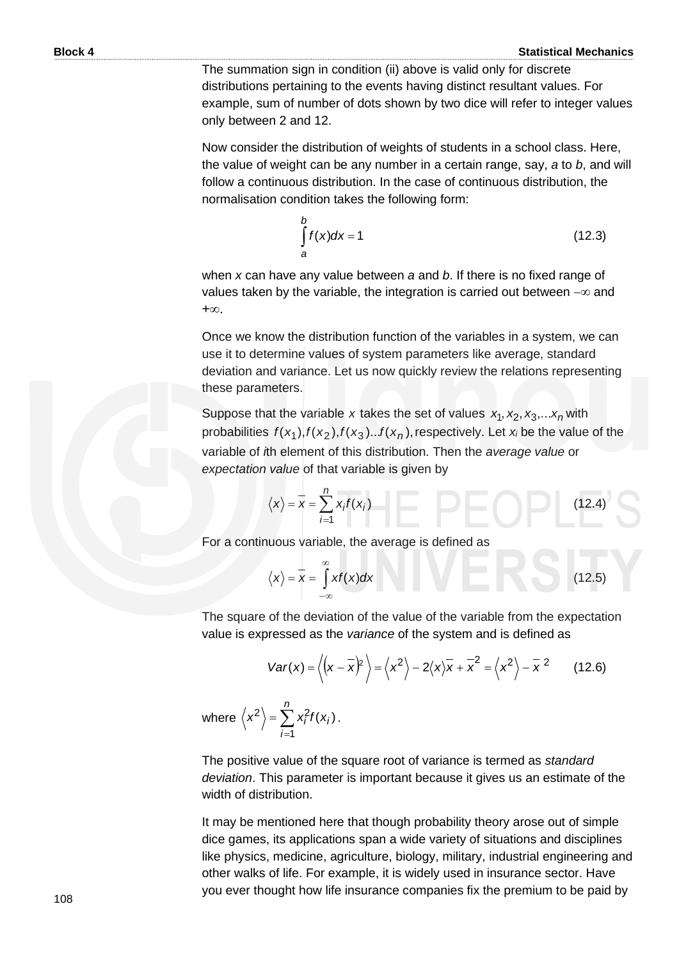The summation sign in condition (ii) above is valid only for discrete distributions pertaining to the events having distinct resultant values. For example, sum of number of dots shown by two dice will refer to integer values only between 2 and 12.

Now consider the distribution of weights of students in a school class. Here, the value of weight can be any number in a certain range, say, *a* to *b*, and will follow a continuous distribution. In the case of continuous distribution, the normalisation condition takes the following form:

$$
\int_{a}^{b} f(x)dx = 1
$$
\n(12.3)

when *x* can have any value between *a* and *b*. If there is no fixed range of values taken by the variable, the integration is carried out between  $-\infty$  and  $+\infty$ .

Once we know the distribution function of the variables in a system, we can use it to determine values of system parameters like average, standard deviation and variance. Let us now quickly review the relations representing these parameters.

Suppose that the variable x takes the set of values  $x_1, x_2, x_3,...x_n$  with probabilities  $f(x_1)$ ,  $f(x_2)$ ,  $f(x_3)$ ... $f(x_n)$ , respectively. Let  $x_i$  be the value of the variable of *i*th element of this distribution. Then the *average value* or *expectation value* of that variable is given by

$$
\langle x \rangle = \overline{x} = \sum_{i=1}^{n} x_i f(x_i) \qquad \qquad \boxed{\qquad \qquad}
$$
 (12.4)

For a continuous variable, the average is defined as

$$
\langle x \rangle = \overline{x} = \int_{-\infty}^{\infty} x f(x) dx
$$
 (12.5)

The square of the deviation of the value of the variable from the expectation value is expressed as the *variance* of the system and is defined as  $Var(x) = \langle (x - \overline{x})^2 \rangle = \langle x^2 \rangle - 2\langle x \rangle \overline{x} + \overline{x}^2 = \langle x^2 \rangle - \overline{x}^2$  (12.6) value is expressed as the *variance* of the system and is defined as

$$
Var(x) = \left\langle \left(x - \overline{x}\right)^2 \right\rangle = \left\langle x^2 \right\rangle - 2\left\langle x \right\rangle \overline{x} + \overline{x}^2 = \left\langle x^2 \right\rangle - \overline{x}^2 \qquad (12.6)
$$

where  $\left\langle x^{2}\right\rangle =\sum$ = = *n i*  $\langle x^2 \rangle = \sum x_i^2 f(x_i)$ 1  $\langle x_i^2 \rangle = \sum x_i^2 f(x_i)$ .

The positive value of the square root of variance is termed as *standard deviation*. This parameter is important because it gives us an estimate of the width of distribution.

It may be mentioned here that though probability theory arose out of simple dice games, its applications span a wide variety of situations and disciplines like physics, medicine, agriculture, biology, military, industrial engineering and other walks of life. For example, it is widely used in insurance sector. Have you ever thought how life insurance companies fix the premium to be paid by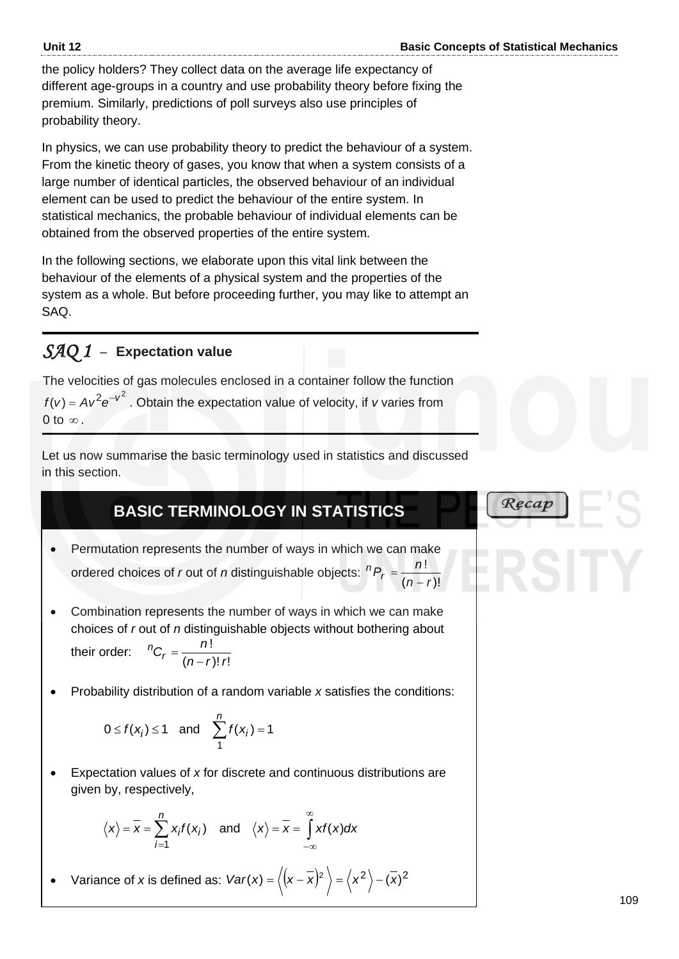Recap

the policy holders? They collect data on the average life expectancy of different age-groups in a country and use probability theory before fixing the premium. Similarly, predictions of poll surveys also use principles of probability theory.

In physics, we can use probability theory to predict the behaviour of a system. From the kinetic theory of gases, you know that when a system consists of a large number of identical particles, the observed behaviour of an individual element can be used to predict the behaviour of the entire system. In statistical mechanics, the probable behaviour of individual elements can be obtained from the observed properties of the entire system.

In the following sections, we elaborate upon this vital link between the behaviour of the elements of a physical system and the properties of the system as a whole. But before proceeding further, you may like to attempt an SAQ.

# *SAQ 1* –**Expectation value**

The velocities of gas molecules enclosed in a container follow the function  $f(v) = Av^2 e^{-v^2}$ . Obtain the expectation value of velocity, if *v* varies from 0 to  $\infty$  .

Let us now summarise the basic terminology used in statistics and discussed in this section.

# **BASIC TERMINOLOGY IN STATISTICS**

- Permutation represents the number of ways in which we can make ordered choices of *r* out of *n* distinguishable objects:  ${}^{n}P_{r} =$  $(n-r)!$ ! *rn n* −
- Combination represents the number of ways in which we can make choices of *r* out of *n* distinguishable objects without bothering about their order:  $(n-r)!$  r! !  $n-r$ )! *r*  $n_{C_r} = \frac{n}{\sqrt{n}}$ − =
- Probability distribution of a random variable *x* satisfies the conditions:

$$
0 \le f(x_i) \le 1 \quad \text{and} \quad \sum_{1}^{n} f(x_i) = 1
$$

• Expectation values of *x* for discrete and continuous distributions are given by, respectively,

$$
\langle x \rangle = \overline{x} = \sum_{i=1}^{n} x_i f(x_i)
$$
 and  $\langle x \rangle = \overline{x} = \int_{-\infty}^{\infty} x f(x) dx$ 

• Variance of *x* is defined as:  $Var(x) = \langle (x - \overline{x})^2 \rangle = (x^2) - (\overline{x})^2$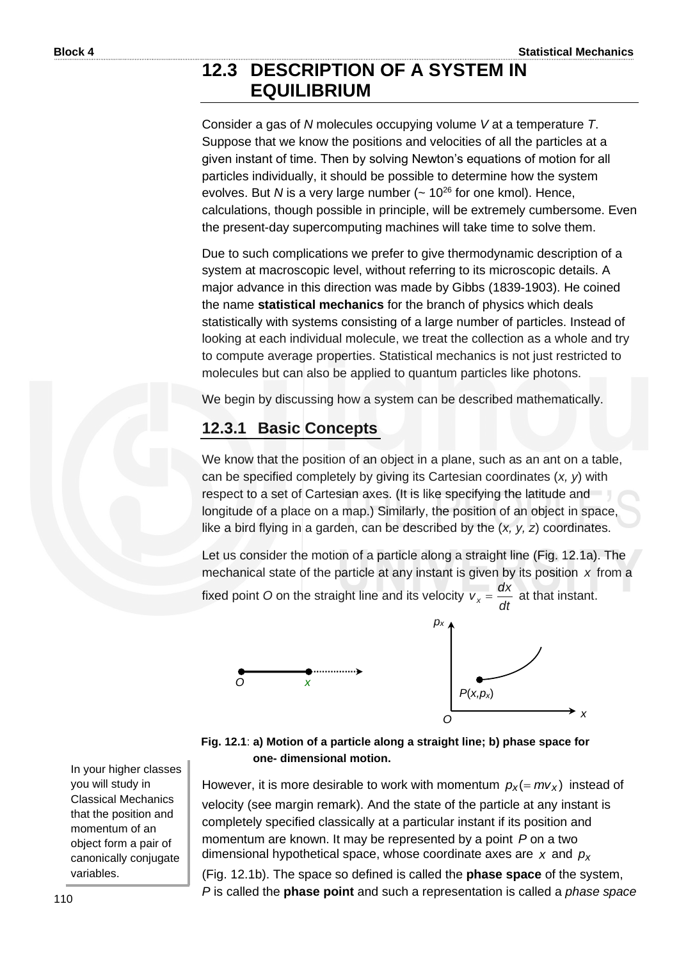# **12.3 DESCRIPTION OF A SYSTEM IN EQUILIBRIUM**

Consider a gas of *N* molecules occupying volume *V* at a temperature *T*. Suppose that we know the positions and velocities of all the particles at a given instant of time. Then by solving Newton's equations of motion for all particles individually, it should be possible to determine how the system evolves. But *N* is a very large number  $($   $\sim$  10<sup>26</sup> for one kmol). Hence, calculations, though possible in principle, will be extremely cumbersome. Even the present-day supercomputing machines will take time to solve them.

Due to such complications we prefer to give thermodynamic description of a system at macroscopic level, without referring to its microscopic details. A major advance in this direction was made by Gibbs (1839-1903). He coined the name **statistical mechanics** for the branch of physics which deals statistically with systems consisting of a large number of particles. Instead of looking at each individual molecule, we treat the collection as a whole and try to compute average properties. Statistical mechanics is not just restricted to molecules but can also be applied to quantum particles like photons.

We begin by discussing how a system can be described mathematically.

# **12.3.1 Basic Concepts**

We know that the position of an object in a plane, such as an ant on a table, can be specified completely by giving its Cartesian coordinates (*x, y*) with respect to a set of Cartesian axes. (It is like specifying the latitude and longitude of a place on a map.) Similarly, the position of an object in space, like a bird flying in a garden, can be described by the (*x, y, z*) coordinates.

Let us consider the motion of a particle along a straight line (Fig. 12.1a). The mechanical state of the particle at any instant is given by its position *x* from a

fixed point *O* on the straight line and its velocity *vx* = *dt*  $\frac{dx}{dt}$  at that instant.



### **Fig. 12.1**: **a) Motion of a particle along a straight line; b) phase space for one- dimensional motion.**

However, it is more desirable to work with momentum  $p_x(=mv_x)$  instead of velocity (see margin remark). And the state of the particle at any instant is completely specified classically at a particular instant if its position and momentum are known. It may be represented by a point P on a two dimensional hypothetical space, whose coordinate axes are *x* and *px*

(Fig. 12.1b). The space so defined is called the **phase space** of the system, *P* is called the **phase point** and such a representation is called a *phase space* 

In your higher classes you will study in Classical Mechanics that the position and momentum of an object form a pair of canonically conjugate variables.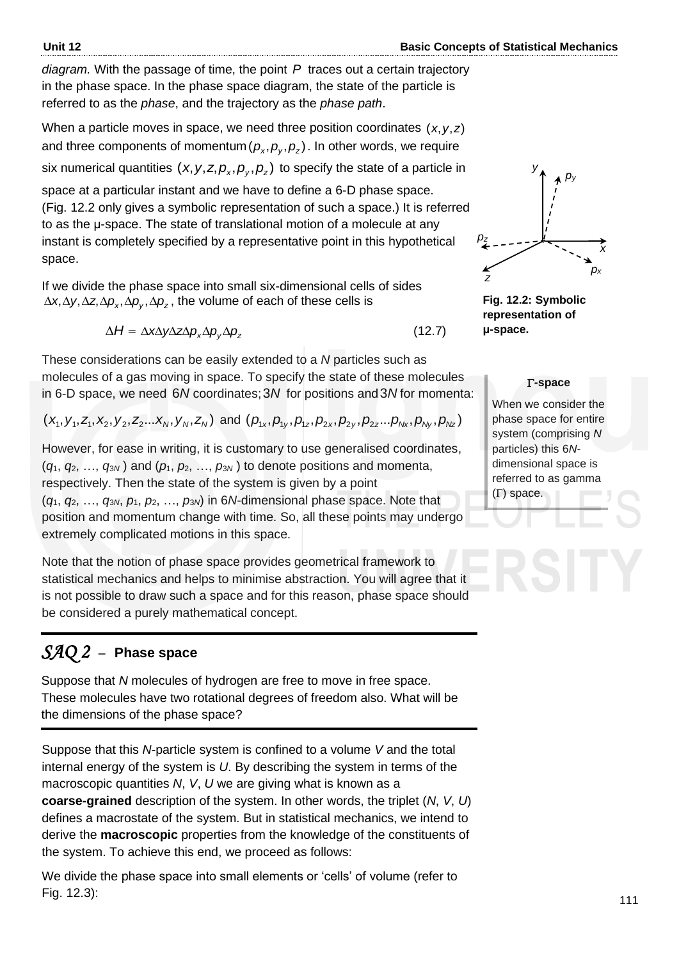*diagram.* With the passage of time, the point *P* traces out a certain trajectory in the phase space. In the phase space diagram, the state of the particle is referred to as the *phase*, and the trajectory as the *phase path*.

When a particle moves in space, we need three position coordinates (*x*,*y*,*z*) and three components of momentum $(\rho_x, \rho_y, \rho_z)$ . In other words, we require six numerical quantities  $(x, y, z, \rho_x, \rho_y, \rho_z)$  to specify the state of a particle in space at a particular instant and we have to define a 6-D phase space. (Fig. 12.2 only gives a symbolic representation of such a space.) It is referred to as the μ-space. The state of translational motion of a molecule at any instant is completely specified by a representative point in this hypothetical space.

If we divide the phase space into small six-dimensional cells of sides  $\Delta$ x, $\Delta$ y, $\Delta$ z, $\Delta$ p<sub>x</sub>, $\Delta$ p<sub>y</sub>, $\Delta$ p<sub>z</sub>, the volume of each of these cells is

$$
\Delta H = \Delta x \Delta y \Delta z \Delta p_x \Delta p_y \Delta p_z \tag{12.7}
$$

These considerations can be easily extended to a *N* particles such as molecules of a gas moving in space. To specify the state of these molecules in 6-D space, we need 6N coordinates; 3N for positions and 3N for momenta:

$$
(x_1, y_1, z_1, x_2, y_2, z_2...x_N, y_N, z_N)
$$
 and  $(p_{1x}, p_{1y}, p_{1z}, p_{2x}, p_{2y}, p_{2z}...p_{Nx}, p_{Ny}, p_{Nz})$ 

However, for ease in writing, it is customary to use generalised coordinates,  $(q_1, q_2, ..., q_{3N})$  and  $(p_1, p_2, ..., p_{3N})$  to denote positions and momenta, respectively. Then the state of the system is given by a point (*q*1, *q*2, …, *q*3*<sup>N</sup>*, *p*1, *p*2, …, *p*3*<sup>N</sup>*) in 6*N*-dimensional phase space. Note that position and momentum change with time. So, all these points may undergo extremely complicated motions in this space.

Note that the notion of phase space provides geometrical framework to statistical mechanics and helps to minimise abstraction. You will agree that it is not possible to draw such a space and for this reason, phase space should be considered a purely mathematical concept.

# *SAQ 2* –**Phase space**

Suppose that *N* molecules of hydrogen are free to move in free space. These molecules have two rotational degrees of freedom also. What will be the dimensions of the phase space?

Suppose that this *N-*particle system is confined to a volume *V* and the total internal energy of the system is *U*. By describing the system in terms of the macroscopic quantities *N*, *V*, *U* we are giving what is known as a **coarse-grained** description of the system. In other words, the triplet (*N*, *V*, *U*) defines a macrostate of the system. But in statistical mechanics, we intend to derive the **macroscopic** properties from the knowledge of the constituents of the system. To achieve this end, we proceed as follows:

We divide the phase space into small elements or 'cells' of volume (refer to Fig. 12.3):



**Fig. 12.2: Symbolic representation of μ-space.**

### **-space**

When we consider the phase space for entire system (comprising *N* particles) this 6*N*dimensional space is referred to as gamma  $(\Gamma)$  space.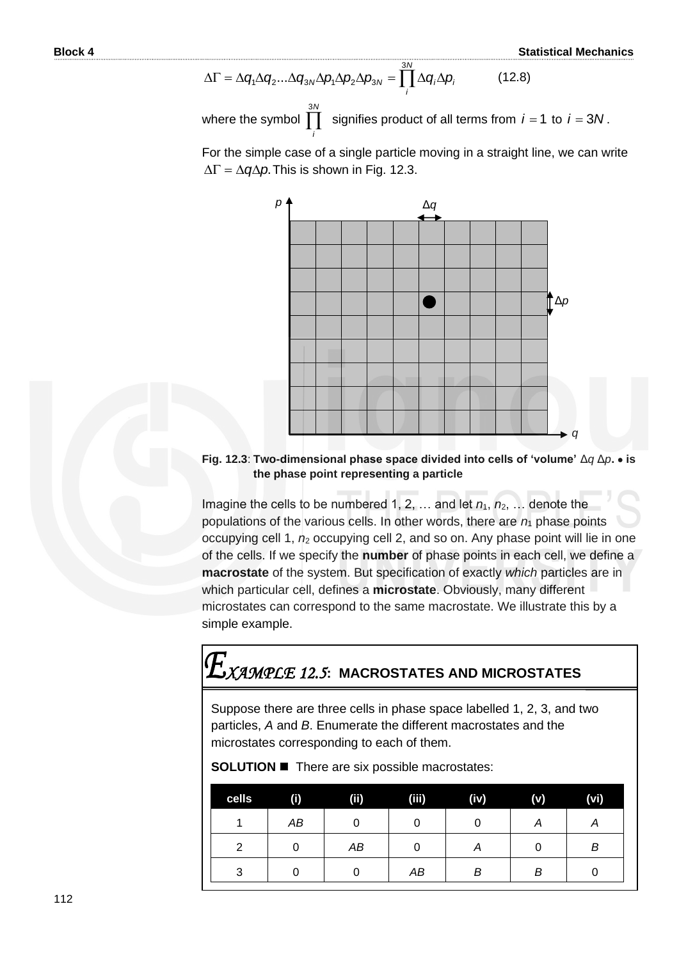$$
\Delta\Gamma = \Delta q_1 \Delta q_2 ... \Delta q_{3N} \Delta p_1 \Delta p_2 \Delta p_{3N} = \prod_i^{3N} \Delta q_i \Delta p_i
$$
 (12.8)

*i*

where the symbol  $\prod$  signifies product of all terms from  $i = 1$  to  $i = 3N$ .

For the simple case of a single particle moving in a straight line, we can write  $\Delta \Gamma = \Delta q \Delta p$ . This is shown in Fig. 12.3.



### **Fig. 12.3**: **Two-dimensional phase space divided into cells of 'volume'** Δ*q* Δ*p***.** • **is the phase point representing a particle**

Imagine the cells to be numbered 1, 2, ... and let  $n_1$ ,  $n_2$ , ... denote the populations of the various cells. In other words, there are  $n_1$  phase points occupying cell 1,  $n_2$  occupying cell 2, and so on. Any phase point will lie in one of the cells. If we specify the **number** of phase points in each cell, we define a **macrostate** of the system. But specification of exactly *which* particles are in which particular cell, defines a **microstate**. Obviously, many different microstates can correspond to the same macrostate. We illustrate this by a simple example.

# *XAMPLE 12.5***: MACROSTATES AND MICROSTATES**

Suppose there are three cells in phase space labelled 1, 2, 3, and two particles, *A* and *B*. Enumerate the different macrostates and the microstates corresponding to each of them.

**SOLUTION** ◼ There are six possible macrostates:

| cells | $\bf{(\mathbf{i})}$ | (ii) | (iii) | (iv) | (v) | (vi) |
|-------|---------------------|------|-------|------|-----|------|
|       | АB                  |      |       |      | А   | А    |
| 2     |                     | AB   |       | Α    |     | В    |
| 3     |                     |      | AB    | В    | B   |      |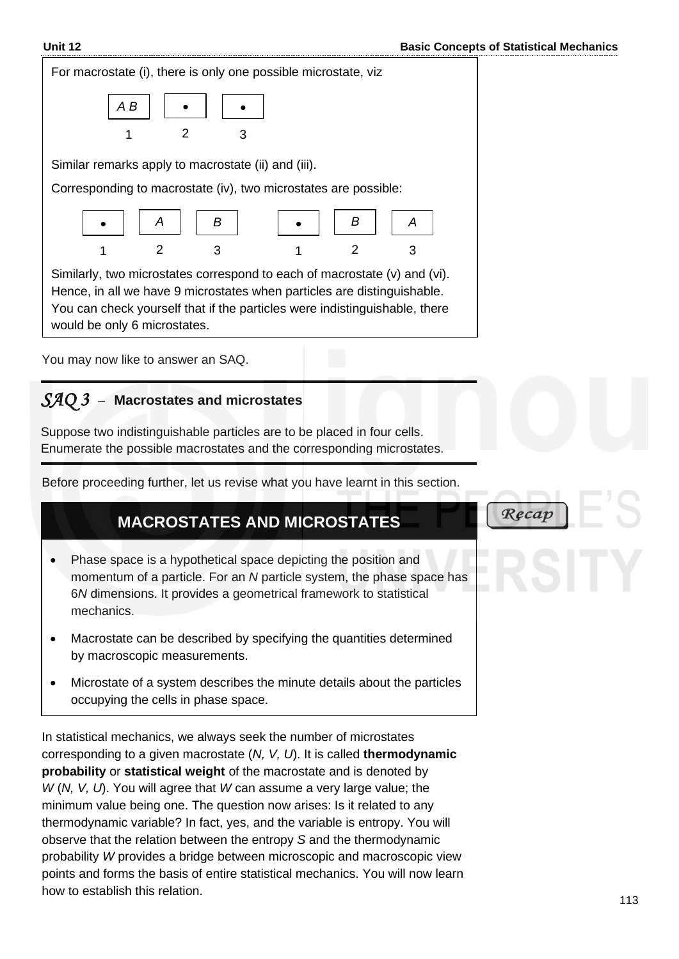Recap



# *SAQ 3* –**Macrostates and microstates**

Suppose two indistinguishable particles are to be placed in four cells. Enumerate the possible macrostates and the corresponding microstates.

Before proceeding further, let us revise what you have learnt in this section.

# **MACROSTATES AND MICROSTATES**

- Phase space is a hypothetical space depicting the position and momentum of a particle. For an *N* particle system, the phase space has 6*N* dimensions. It provides a geometrical framework to statistical mechanics.
- Macrostate can be described by specifying the quantities determined by macroscopic measurements.
- Microstate of a system describes the minute details about the particles occupying the cells in phase space.

In statistical mechanics, we always seek the number of microstates corresponding to a given macrostate (*N, V, U*). It is called **thermodynamic probability** or **statistical weight** of the macrostate and is denoted by *W* (*N, V, U*). You will agree that *W* can assume a very large value; the minimum value being one. The question now arises: Is it related to any thermodynamic variable? In fact, yes, and the variable is entropy. You will observe that the relation between the entropy *S* and the thermodynamic probability *W* provides a bridge between microscopic and macroscopic view points and forms the basis of entire statistical mechanics. You will now learn how to establish this relation.

# 113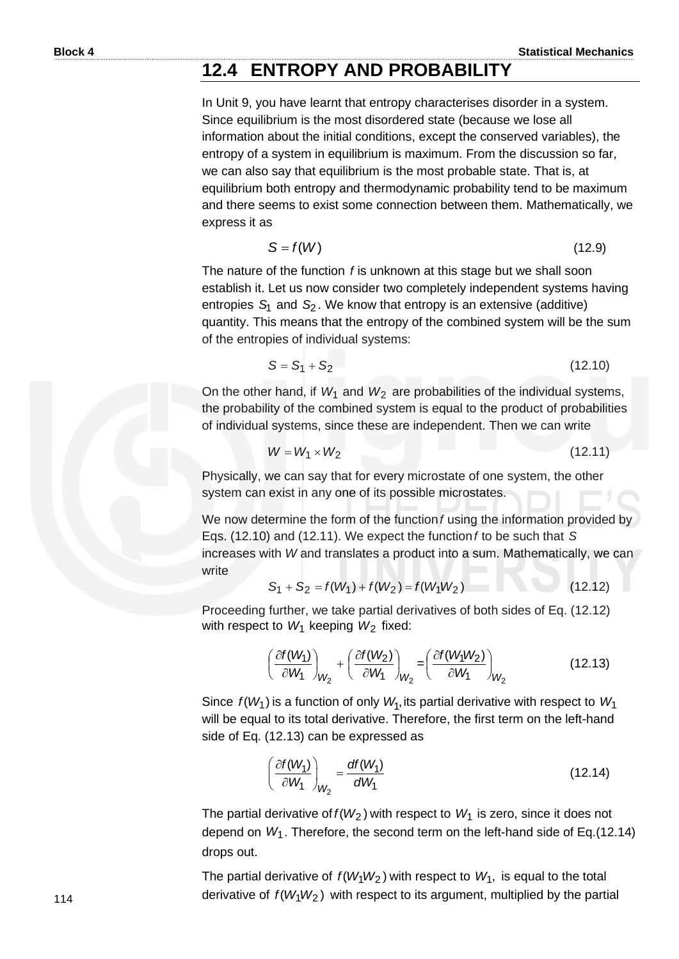# **12.4 ENTROPY AND PROBABILITY**

In Unit 9, you have learnt that entropy characterises disorder in a system. Since equilibrium is the most disordered state (because we lose all information about the initial conditions, except the conserved variables), the entropy of a system in equilibrium is maximum. From the discussion so far, we can also say that equilibrium is the most probable state. That is, at equilibrium both entropy and thermodynamic probability tend to be maximum and there seems to exist some connection between them. Mathematically, we express it as

$$
S = f(W) \tag{12.9}
$$

The nature of the function f is unknown at this stage but we shall soon establish it. Let us now consider two completely independent systems having entropies S<sub>1</sub> and S<sub>2</sub>. We know that entropy is an extensive (additive) quantity. This means that the entropy of the combined system will be the sum of the entropies of individual systems:

$$
S = S_1 + S_2 \tag{12.10}
$$

On the other hand, if  $W_1$  and  $W_2$  are probabilities of the individual systems, the probability of the combined system is equal to the product of probabilities of individual systems, since these are independent. Then we can write

$$
W = W_1 \times W_2 \tag{12.11}
$$

Physically, we can say that for every microstate of one system, the other system can exist in any one of its possible microstates.

We now determine the form of the function f using the information provided by Eqs. (12.10) and (12.11). We expect the function *f* to be such that *S* increases with *W* and translates a product into a sum. Mathematically, we can write

$$
S_1 + S_2 = f(W_1) + f(W_2) = f(W_1W_2)
$$
 (12.12)

Proceeding further, we take partial derivatives of both sides of Eq. (12.12) with respect to  $W_1$  keeping  $W_2$  fixed:

$$
\left(\frac{\partial f(W_1)}{\partial W_1}\right)_{W_2} + \left(\frac{\partial f(W_2)}{\partial W_1}\right)_{W_2} = \left(\frac{\partial f(W_1 W_2)}{\partial W_1}\right)_{W_2}
$$
(12.13)

Since  $f(W_1)$  is a function of only  $W_1$ , its partial derivative with respect to  $W_1$ will be equal to its total derivative. Therefore, the first term on the left-hand side of Eq. (12.13) can be expressed as

$$
\left(\frac{\partial f(W_1)}{\partial W_1}\right)_{W_2} = \frac{df(W_1)}{dW_1}
$$
\n(12.14)

The partial derivative of  $f(W_2)$  with respect to  $W_1$  is zero, since it does not depend on *W*1 . Therefore, the second term on the left-hand side of Eq.(12.14) drops out.

The partial derivative of  $f(W_1W_2)$  with respect to  $W_1$ , is equal to the total derivative of  $f(W_1W_2)$  with respect to its argument, multiplied by the partial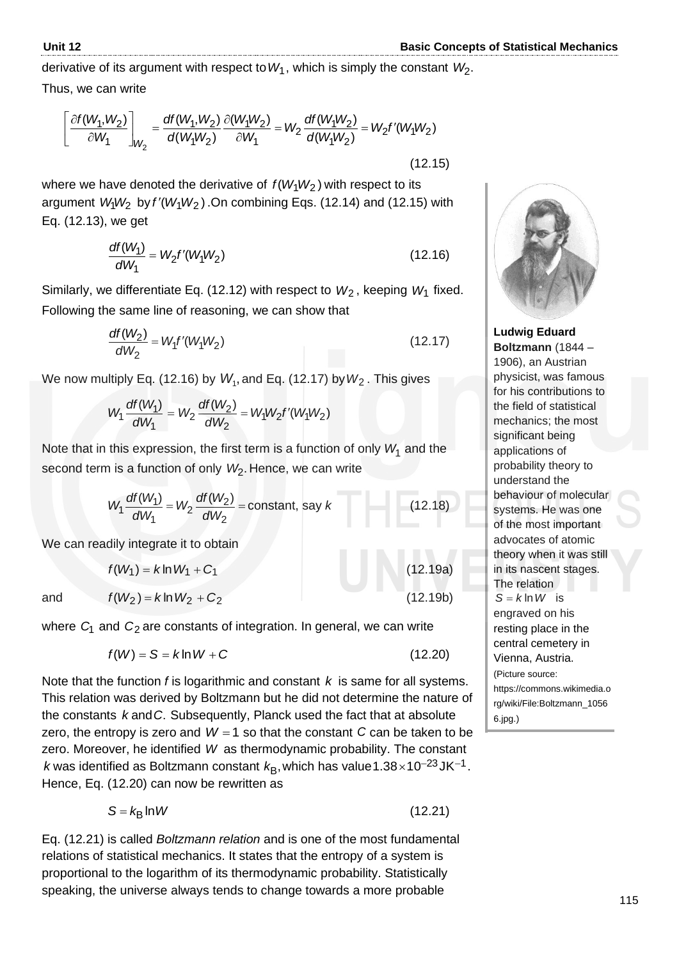derivative of its argument with respect to  $W_1$  , which is simply the constant  $\,W_2.$ 

Thus, we can write

us, we can write  
\n
$$
\left[\frac{\partial f(W_1, W_2)}{\partial W_1}\right]_{W_2} = \frac{df(W_1, W_2)}{d(W_1W_2)} \frac{\partial (W_1W_2)}{\partial W_1} = W_2 \frac{df(W_1W_2)}{d(W_1W_2)} = W_2 f'(W_1W_2)
$$
\n(12.15)

where we have denoted the derivative of  $f(W_1W_2)$  with respect to its argument  $W_1W_2$  by  $f'(W_1W_2)$ . On combining Eqs. (12.14) and (12.15) with Eq. (12.13), we get

$$
\frac{df(W_1)}{dW_1} = W_2 f'(W_1 W_2)
$$
\n(12.16)

Similarly, we differentiate Eq. (12.12) with respect to  $W_2$ , keeping  $W_1$  fixed. Following the same line of reasoning, we can show that

$$
\frac{df(W_2)}{dW_2} = W_1 f'(W_1 W_2)
$$
\n(12.17)

We now multiply Eq. (12.16) by 
$$
W_1
$$
, and Eq. (12.17) by  $W_2$ . This gives  
\n
$$
W_1 \frac{df(W_1)}{dW_1} = W_2 \frac{df(W_2)}{dW_2} = W_1 W_2 f'(W_1 W_2)
$$

Note that in this expression, the first term is a function of only  $W_1$  and the second term is a function of only *W*<sub>2</sub>. Hence, we can write

$$
W_1 \frac{df(W_1)}{dW_1} = W_2 \frac{df(W_2)}{dW_2} = \text{constant, say } k \tag{12.18}
$$

We can readily integrate it to obtain

$$
f(W_1) = k \ln W_1 + C_1
$$
 (12.19a)  

$$
f(W_2) = k \ln W_2 + C_2
$$
 (12.19b)

where  $C_1$  and  $C_2$  are constants of integration. In general, we can write

$$
f(W) = S = k \ln W + C \tag{12.20}
$$

Note that the function *f* is logarithmic and constant *k* is same for all systems. This relation was derived by Boltzmann but he did not determine the nature of the constants k and C. Subsequently, Planck used the fact that at absolute zero, the entropy is zero and  $W = 1$  so that the constant  $C$  can be taken to be zero. Moreover, he identified W as thermodynamic probability. The constant *k* was identified as Boltzmann constant *k*<sub>B</sub>, which has value 1.38×10<sup>-23</sup>JK<sup>-1</sup>. Hence, Eq. (12.20) can now be rewritten as

$$
S = k_{\text{B}} \ln W \tag{12.21}
$$

Eq. (12.21) is called *Boltzmann relation* and is one of the most fundamental relations of statistical mechanics. It states that the entropy of a system is proportional to the logarithm of its thermodynamic probability. Statistically speaking, the universe always tends to change towards a more probable



**Ludwig Eduard Boltzmann** (1844 – 1906), an Austrian physicist, was famous for his contributions to the field of statistical mechanics; the most significant being applications of probability theory to understand the behaviour of molecular systems. He was one of the most important advocates of atomic theory when it was still in its nascent stages. The relation  $S = k \ln W$  is engraved on his resting place in the central cemetery in Vienna, Austria. (Picture source: https://commons.wikimedia.o rg/wiki/File:Boltzmann\_1056 6.jpg.)

and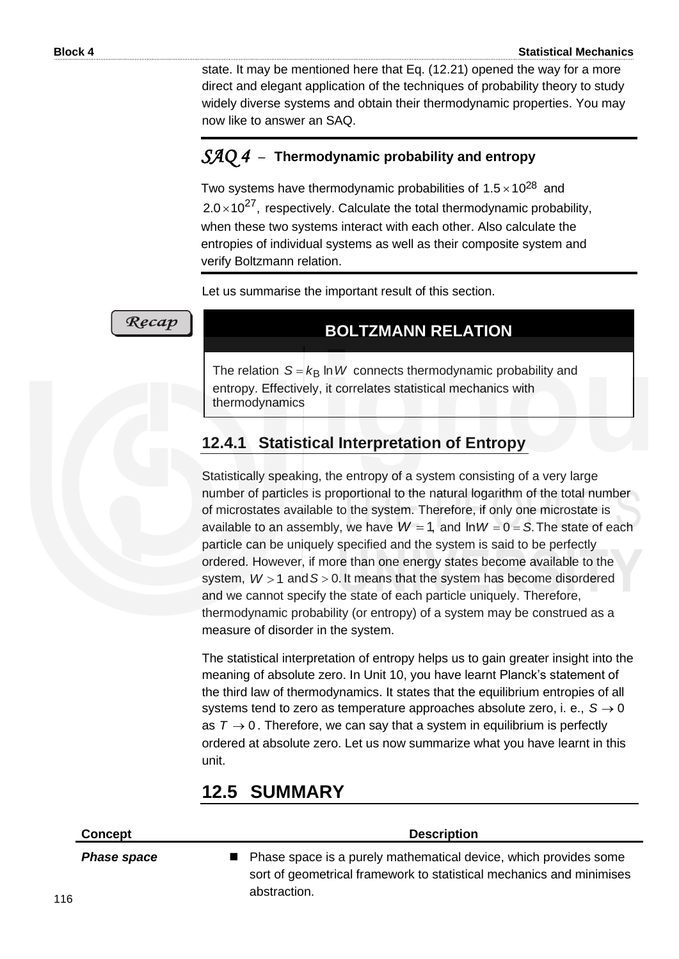state. It may be mentioned here that Eq. (12.21) opened the way for a more direct and elegant application of the techniques of probability theory to study widely diverse systems and obtain their thermodynamic properties. You may now like to answer an SAQ.

# *SAQ 4* –**Thermodynamic probability and entropy**

Two systems have thermodynamic probabilities of 1.5 $\times$ 10<sup>28</sup> and  $2.0 \times 10^{27}$ , respectively. Calculate the total thermodynamic probability, when these two systems interact with each other. Also calculate the entropies of individual systems as well as their composite system and verify Boltzmann relation.

Let us summarise the important result of this section. .

### Recap

# **BOLTZMANN RELATION**

The relation  $S = k_B \ln W$  connects thermodynamic probability and entropy. Effectively, it correlates statistical mechanics with thermodynamics

# **12.4.1 Statistical Interpretation of Entropy**

Statistically speaking, the entropy of a system consisting of a very large number of particles is proportional to the natural logarithm of the total number of microstates available to the system. Therefore, if only one microstate is available to an assembly, we have  $W = 1$ , and  $\text{Im } W = 0 = S$ . The state of each particle can be uniquely specified and the system is said to be perfectly ordered. However, if more than one energy states become available to the system,  $W > 1$  and  $S > 0$ . It means that the system has become disordered and we cannot specify the state of each particle uniquely. Therefore, thermodynamic probability (or entropy) of a system may be construed as a measure of disorder in the system.

The statistical interpretation of entropy helps us to gain greater insight into the meaning of absolute zero. In Unit 10, you have learnt Planck's statement of the third law of thermodynamics. It states that the equilibrium entropies of all systems tend to zero as temperature approaches absolute zero, i. e.,  $S \rightarrow 0$ as  $T \rightarrow 0$ . Therefore, we can say that a system in equilibrium is perfectly ordered at absolute zero. Let us now summarize what you have learnt in this unit.

# **12.5 SUMMARY**

| Concept            | <b>Description</b>                                                                                                                                         |  |  |  |  |  |
|--------------------|------------------------------------------------------------------------------------------------------------------------------------------------------------|--|--|--|--|--|
| <b>Phase space</b> | ■ Phase space is a purely mathematical device, which provides some<br>sort of geometrical framework to statistical mechanics and minimises<br>abstraction. |  |  |  |  |  |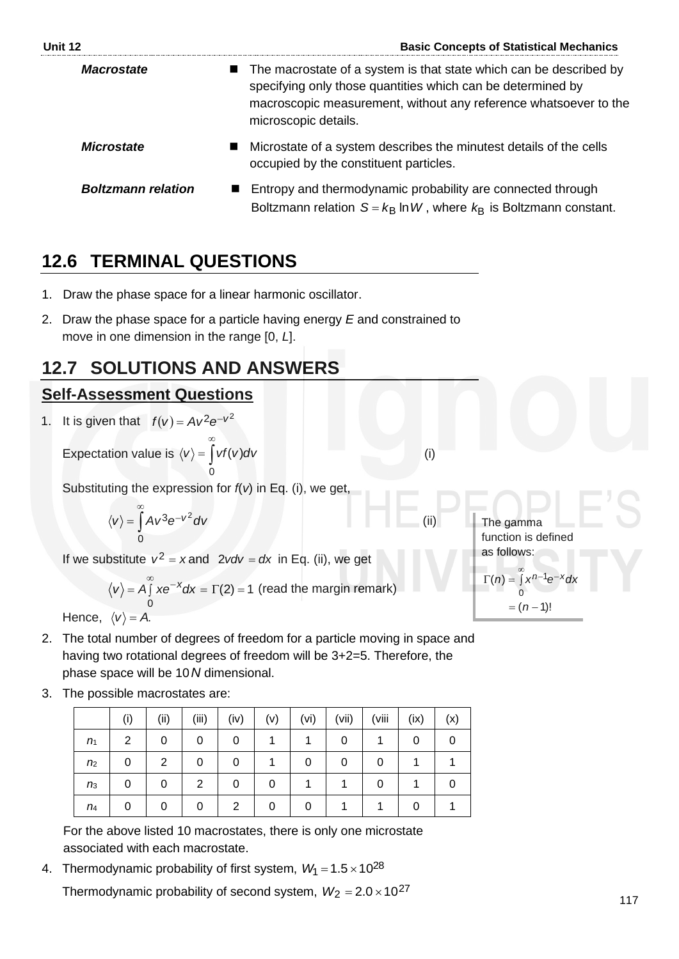| Unit 12                   | <b>Basic Concepts of Statistical Mechanics</b>                                                                                                                                                                                  |
|---------------------------|---------------------------------------------------------------------------------------------------------------------------------------------------------------------------------------------------------------------------------|
| <b>Macrostate</b>         | ■ The macrostate of a system is that state which can be described by<br>specifying only those quantities which can be determined by<br>macroscopic measurement, without any reference whatsoever to the<br>microscopic details. |
| <b>Microstate</b>         | Microstate of a system describes the minutest details of the cells<br>occupied by the constituent particles.                                                                                                                    |
| <b>Boltzmann relation</b> | Entropy and thermodynamic probability are connected through<br>Boltzmann relation $S = k_B \ln W$ , where $k_B$ is Boltzmann constant.                                                                                          |

# **12.6 TERMINAL QUESTIONS**

- 1. Draw the phase space for a linear harmonic oscillator.
- 2. Draw the phase space for a particle having energy *E* and constrained to move in one dimension in the range [0, *L*].

# **12.7 SOLUTIONS AND ANSWERS**

# **Self-Assessment Questions**

1. It is given that  $f(v) = Av^2 e^{-v^2}$ 

Expectation value is 
$$
\langle v \rangle = \int_{0}^{\infty} vf(v) dv
$$

Substituting the expression for *f*(*v*) in Eq. (i), we get,

$$
\langle v \rangle = \int_{0}^{\infty} A v^3 e^{-v^2} dv
$$

If we substitute  $v^2 = x$  and  $2vdv = dx$  in Eq. (ii), we get

$$
\langle v \rangle = A \int_{0}^{\infty} x e^{-x} dx = \Gamma(2) = 1
$$
 (read the margin remark)

Hence,  $\langle v \rangle$  = A.

- 2. The total number of degrees of freedom for a particle moving in space and having two rotational degrees of freedom will be 3+2=5. Therefore, the phase space will be 10 *N* dimensional.
- 3. The possible macrostates are:

|                | (i) | (ii) | (iii) | (iv) | (v) | (vi) | (vii) | (viii | (ix) | (x) |
|----------------|-----|------|-------|------|-----|------|-------|-------|------|-----|
| n <sub>1</sub> | 2   | 0    | 0     | 0    |     |      | 0     |       | 0    |     |
| n <sub>2</sub> | 0   | 2    |       | 0    |     |      | 0     | 0     |      |     |
| n <sub>3</sub> | 0   | 0    | 2     | 0    | 0   |      |       | 0     |      |     |
| $n_4$          | 0   | 0    |       | 2    | 0   |      |       |       |      |     |

For the above listed 10 macrostates, there is only one microstate associated with each macrostate.

4. Thermodynamic probability of first system,  $W_1 = 1.5 \times 10^{28}$ 

Thermodynamic probability of second system,  $W_2 = 2.0 \times 10^{27}$ 

The gamma function is defined as follows:  $\Gamma(n) = \int_{0}^{\infty} x^{n-1} e^{-x} dx$ 0

 $= (n-1)!$ 

(i)

(ii)